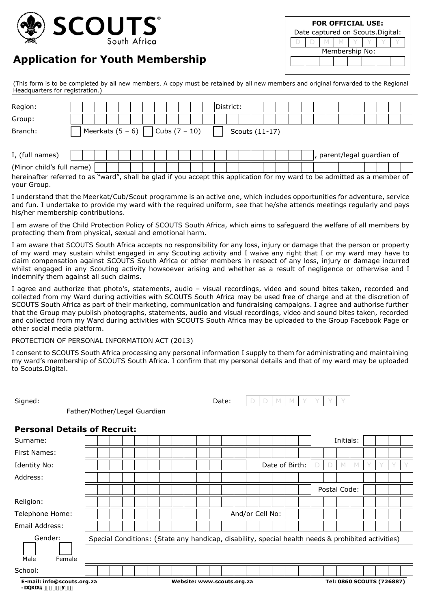

## **Application for Youth Membership**

|                | <b>FOR OFFICIAL USE:</b>          |  |  |  |  |  |  |  |  |  |  |  |  |  |  |
|----------------|-----------------------------------|--|--|--|--|--|--|--|--|--|--|--|--|--|--|
|                | Date captured on Scouts. Digital: |  |  |  |  |  |  |  |  |  |  |  |  |  |  |
|                |                                   |  |  |  |  |  |  |  |  |  |  |  |  |  |  |
| Membership No: |                                   |  |  |  |  |  |  |  |  |  |  |  |  |  |  |
|                |                                   |  |  |  |  |  |  |  |  |  |  |  |  |  |  |
|                |                                   |  |  |  |  |  |  |  |  |  |  |  |  |  |  |

(This form is to be completed by all new members. A copy must be retained by all new members and original forwarded to the Regional Headquarters for registration.)

| Region:                   |                                                                                                                           |  |  |  |  |  |                                    |  |  |  |  |  | District: |  |  |                |  |  |                          |  |  |  |
|---------------------------|---------------------------------------------------------------------------------------------------------------------------|--|--|--|--|--|------------------------------------|--|--|--|--|--|-----------|--|--|----------------|--|--|--------------------------|--|--|--|
| Group:                    |                                                                                                                           |  |  |  |  |  |                                    |  |  |  |  |  |           |  |  |                |  |  |                          |  |  |  |
| Branch:                   |                                                                                                                           |  |  |  |  |  | Meerkats $(5 - 6)$ Cubs $(7 - 10)$ |  |  |  |  |  |           |  |  | Scouts (11-17) |  |  |                          |  |  |  |
| I, (full names)           |                                                                                                                           |  |  |  |  |  |                                    |  |  |  |  |  |           |  |  |                |  |  | parent/legal guardian of |  |  |  |
| (Minor child's full name) |                                                                                                                           |  |  |  |  |  |                                    |  |  |  |  |  |           |  |  |                |  |  |                          |  |  |  |
| your Group.               | hereinafter referred to as "ward", shall be glad if you accept this application for my ward to be admitted as a member of |  |  |  |  |  |                                    |  |  |  |  |  |           |  |  |                |  |  |                          |  |  |  |

I understand that the Meerkat/Cub/Scout programme is an active one, which includes opportunities for adventure, service and fun. I undertake to provide my ward with the required uniform, see that he/she attends meetings regularly and pays his/her membership contributions.

I am aware of the Child Protection Policy of SCOUTS South Africa, which aims to safeguard the welfare of all members by protecting them from physical, sexual and emotional harm.

I am aware that SCOUTS South Africa accepts no responsibility for any loss, injury or damage that the person or property of my ward may sustain whilst engaged in any Scouting activity and I waive any right that I or my ward may have to claim compensation against SCOUTS South Africa or other members in respect of any loss, injury or damage incurred whilst engaged in any Scouting activity howsoever arising and whether as a result of negligence or otherwise and I indemnify them against all such claims.

I agree and authorize that photo's, statements, audio – visual recordings, video and sound bites taken, recorded and collected from my Ward during activities with SCOUTS South Africa may be used free of charge and at the discretion of SCOUTS South Africa as part of their marketing, communication and fundraising campaigns. I agree and authorise further that the Group may publish photographs, statements, audio and visual recordings, video and sound bites taken, recorded and collected from my Ward during activities with SCOUTS South Africa may be uploaded to the Group Facebook Page or other social media platform.

## PROTECTION OF PERSONAL INFORMATION ACT (2013)

I consent to SCOUTS South Africa processing any personal information I supply to them for administrating and maintaining my ward's membership of SCOUTS South Africa. I confirm that my personal details and that of my ward may be uploaded to Scouts.Digital.

| Signed:                                             |                            |  |  |  |  |  | Date:<br>M |  |  |  |  |  |  |                           |  |  |                                                                                                    |  |              |   |           |   |  |  |  |  |
|-----------------------------------------------------|----------------------------|--|--|--|--|--|------------|--|--|--|--|--|--|---------------------------|--|--|----------------------------------------------------------------------------------------------------|--|--------------|---|-----------|---|--|--|--|--|
| Father/Mother/Legal Guardian                        |                            |  |  |  |  |  |            |  |  |  |  |  |  |                           |  |  |                                                                                                    |  |              |   |           |   |  |  |  |  |
| <b>Personal Details of Recruit:</b>                 |                            |  |  |  |  |  |            |  |  |  |  |  |  |                           |  |  |                                                                                                    |  |              |   |           |   |  |  |  |  |
| Surname:                                            |                            |  |  |  |  |  |            |  |  |  |  |  |  |                           |  |  |                                                                                                    |  |              |   | Initials: |   |  |  |  |  |
| First Names:                                        |                            |  |  |  |  |  |            |  |  |  |  |  |  |                           |  |  |                                                                                                    |  |              |   |           |   |  |  |  |  |
| Identity No:                                        |                            |  |  |  |  |  |            |  |  |  |  |  |  |                           |  |  | Date of Birth:                                                                                     |  | $\Box$       | D |           | M |  |  |  |  |
| Address:                                            |                            |  |  |  |  |  |            |  |  |  |  |  |  |                           |  |  |                                                                                                    |  |              |   |           |   |  |  |  |  |
|                                                     |                            |  |  |  |  |  |            |  |  |  |  |  |  |                           |  |  |                                                                                                    |  | Postal Code: |   |           |   |  |  |  |  |
| Religion:                                           |                            |  |  |  |  |  |            |  |  |  |  |  |  |                           |  |  |                                                                                                    |  |              |   |           |   |  |  |  |  |
| Telephone Home:                                     |                            |  |  |  |  |  |            |  |  |  |  |  |  | And/or Cell No:           |  |  |                                                                                                    |  |              |   |           |   |  |  |  |  |
| Email Address:                                      |                            |  |  |  |  |  |            |  |  |  |  |  |  |                           |  |  |                                                                                                    |  |              |   |           |   |  |  |  |  |
| Gender:                                             |                            |  |  |  |  |  |            |  |  |  |  |  |  |                           |  |  | Special Conditions: (State any handicap, disability, special health needs & prohibited activities) |  |              |   |           |   |  |  |  |  |
| Male<br>Female                                      |                            |  |  |  |  |  |            |  |  |  |  |  |  |                           |  |  |                                                                                                    |  |              |   |           |   |  |  |  |  |
| School:                                             |                            |  |  |  |  |  |            |  |  |  |  |  |  |                           |  |  |                                                                                                    |  |              |   |           |   |  |  |  |  |
| E-mail: info@scouts.org.za<br>>Ubi Ufm&\$&\$ i &"\$ | Website: www.scouts.org.za |  |  |  |  |  |            |  |  |  |  |  |  | Tel: 0860 SCOUTS (726887) |  |  |                                                                                                    |  |              |   |           |   |  |  |  |  |